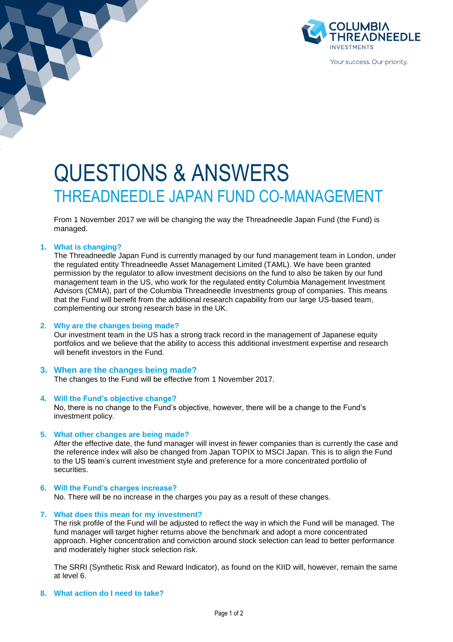

# QUESTIONS & ANSWERS THREADNEEDLE JAPAN FUND CO-MANAGEMENT

From 1 November 2017 we will be changing the way the Threadneedle Japan Fund (the Fund) is managed.

## **1. What is changing?**

The Threadneedle Japan Fund is currently managed by our fund management team in London, under the regulated entity Threadneedle Asset Management Limited (TAML). We have been granted permission by the regulator to allow investment decisions on the fund to also be taken by our fund management team in the US, who work for the regulated entity Columbia Management Investment Advisors (CMIA), part of the Columbia Threadneedle Investments group of companies. This means that the Fund will benefit from the additional research capability from our large US-based team, complementing our strong research base in the UK.

### **2. Why are the changes being made?**

Our investment team in the US has a strong track record in the management of Japanese equity portfolios and we believe that the ability to access this additional investment expertise and research will benefit investors in the Fund.

# **3. When are the changes being made?**

The changes to the Fund will be effective from 1 November 2017.

## **4. Will the Fund's objective change?**

No, there is no change to the Fund's objective, however, there will be a change to the Fund's investment policy.

### **5. What other changes are being made?**

After the effective date, the fund manager will invest in fewer companies than is currently the case and the reference index will also be changed from Japan TOPIX to MSCI Japan. This is to align the Fund to the US team's current investment style and preference for a more concentrated portfolio of securities.

### **6. Will the Fund's charges increase?**

No. There will be no increase in the charges you pay as a result of these changes.

#### **7. What does this mean for my investment?**

The risk profile of the Fund will be adjusted to reflect the way in which the Fund will be managed. The fund manager will target higher returns above the benchmark and adopt a more concentrated approach. Higher concentration and conviction around stock selection can lead to better performance and moderately higher stock selection risk.

The SRRI (Synthetic Risk and Reward Indicator), as found on the KIID will, however, remain the same at level 6.

### **8. What action do I need to take?**